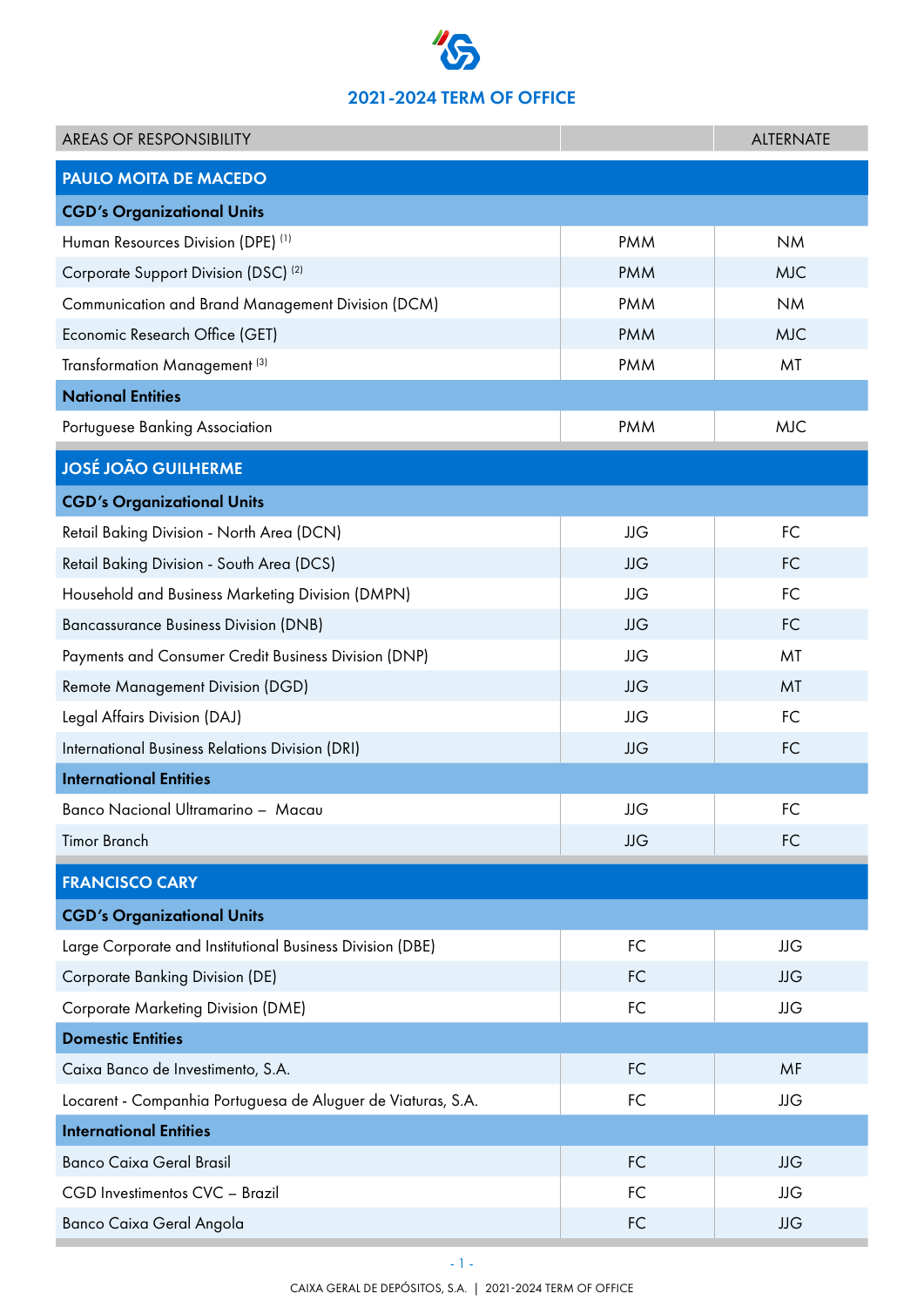## 2021-2024 TERM OF OFFICE

| <b>AREAS OF RESPONSIBILITY</b>                               |            | <b>ALTERNATE</b> |
|--------------------------------------------------------------|------------|------------------|
| <b>PAULO MOITA DE MACEDO</b>                                 |            |                  |
| <b>CGD's Organizational Units</b>                            |            |                  |
| Human Resources Division (DPE) (1)                           | <b>PMM</b> | <b>NM</b>        |
| Corporate Support Division (DSC) <sup>(2)</sup>              | <b>PMM</b> | <b>MJC</b>       |
| Communication and Brand Management Division (DCM)            | <b>PMM</b> | <b>NM</b>        |
| Economic Research Office (GET)                               | <b>PMM</b> | <b>MJC</b>       |
| Transformation Management <sup>(3)</sup>                     | <b>PMM</b> | MT               |
| <b>National Entities</b>                                     |            |                  |
| Portuguese Banking Association                               | <b>PMM</b> | <b>MJC</b>       |
| <b>JOSÉ JOÃO GUILHERME</b>                                   |            |                  |
| <b>CGD's Organizational Units</b>                            |            |                  |
| Retail Baking Division - North Area (DCN)                    | <b>JJG</b> | <b>FC</b>        |
| Retail Baking Division - South Area (DCS)                    | <b>JJG</b> | <b>FC</b>        |
| Household and Business Marketing Division (DMPN)             | <b>JJG</b> | FC               |
| <b>Bancassurance Business Division (DNB)</b>                 | <b>JJG</b> | <b>FC</b>        |
| Payments and Consumer Credit Business Division (DNP)         | JJG        | MT               |
| <b>Remote Management Division (DGD)</b>                      | <b>JJG</b> | MT               |
| Legal Affairs Division (DAJ)                                 | <b>JJG</b> | <b>FC</b>        |
| International Business Relations Division (DRI)              | <b>JJG</b> | <b>FC</b>        |
| <b>International Entities</b>                                |            |                  |
| Banco Nacional Ultramarino - Macau                           | <b>JJG</b> | FC               |
| <b>Timor Branch</b>                                          | <b>JJG</b> | <b>FC</b>        |
| <b>FRANCISCO CARY</b>                                        |            |                  |
| <b>CGD's Organizational Units</b>                            |            |                  |
| Large Corporate and Institutional Business Division (DBE)    | FC         | <b>JJG</b>       |
| Corporate Banking Division (DE)                              | <b>FC</b>  | <b>JJG</b>       |
| <b>Corporate Marketing Division (DME)</b>                    | FC         | JJG              |
| <b>Domestic Entities</b>                                     |            |                  |
| Caixa Banco de Investimento, S.A.                            | <b>FC</b>  | MF               |
| Locarent - Companhia Portuguesa de Aluguer de Viaturas, S.A. | <b>FC</b>  | <b>JJG</b>       |
| <b>International Entities</b>                                |            |                  |
| <b>Banco Caixa Geral Brasil</b>                              | FC         | <b>JJG</b>       |
| CGD Investimentos CVC - Brazil                               | FC         | JJG              |
| Banco Caixa Geral Angola                                     | FC         | <b>JJG</b>       |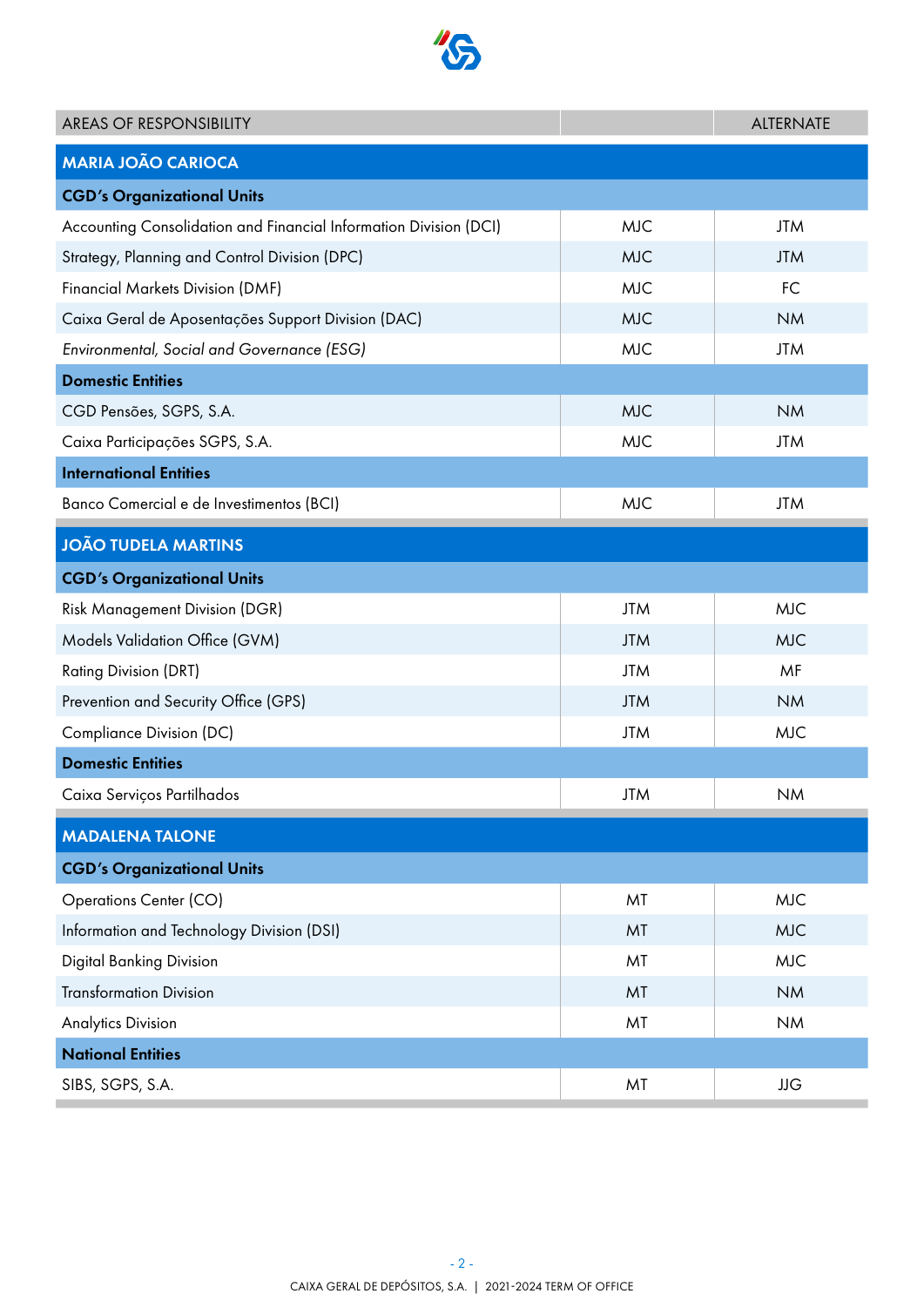

| <b>AREAS OF RESPONSIBILITY</b>                                    |            | <b>ALTERNATE</b> |  |
|-------------------------------------------------------------------|------------|------------------|--|
| <b>MARIA JOÃO CARIOCA</b>                                         |            |                  |  |
| <b>CGD's Organizational Units</b>                                 |            |                  |  |
| Accounting Consolidation and Financial Information Division (DCI) | <b>MJC</b> | <b>JTM</b>       |  |
| Strategy, Planning and Control Division (DPC)                     | <b>MJC</b> | <b>JTM</b>       |  |
| <b>Financial Markets Division (DMF)</b>                           | <b>MJC</b> | <b>FC</b>        |  |
| Caixa Geral de Aposentações Support Division (DAC)                | <b>MJC</b> | <b>NM</b>        |  |
| Environmental, Social and Governance (ESG)                        | <b>MJC</b> | <b>JTM</b>       |  |
| <b>Domestic Entities</b>                                          |            |                  |  |
| CGD Pensões, SGPS, S.A.                                           | <b>MJC</b> | <b>NM</b>        |  |
| Caixa Participações SGPS, S.A.                                    | <b>MJC</b> | <b>JTM</b>       |  |
| <b>International Entities</b>                                     |            |                  |  |
| Banco Comercial e de Investimentos (BCI)                          | <b>MJC</b> | <b>JTM</b>       |  |
| <b>JOÃO TUDELA MARTINS</b>                                        |            |                  |  |
| <b>CGD's Organizational Units</b>                                 |            |                  |  |
| <b>Risk Management Division (DGR)</b>                             | <b>JTM</b> | <b>MJC</b>       |  |
| Models Validation Office (GVM)                                    | <b>JTM</b> | <b>MJC</b>       |  |
| <b>Rating Division (DRT)</b>                                      | <b>JTM</b> | MF               |  |
| Prevention and Security Office (GPS)                              | <b>JTM</b> | <b>NM</b>        |  |
| Compliance Division (DC)                                          | <b>JTM</b> | <b>MJC</b>       |  |
| <b>Domestic Entities</b>                                          |            |                  |  |
| Caixa Serviços Partilhados                                        | <b>JTM</b> | <b>NM</b>        |  |
| <b>MADALENA TALONE</b>                                            |            |                  |  |
| <b>CGD's Organizational Units</b>                                 |            |                  |  |
| <b>Operations Center (CO)</b>                                     | MT         | <b>MJC</b>       |  |
| Information and Technology Division (DSI)                         | MT         | <b>MJC</b>       |  |
| <b>Digital Banking Division</b>                                   | MT         | <b>MJC</b>       |  |
| <b>Transformation Division</b>                                    | MT         | <b>NM</b>        |  |
| <b>Analytics Division</b>                                         | MT         | <b>NM</b>        |  |
| <b>National Entities</b>                                          |            |                  |  |
| SIBS, SGPS, S.A.                                                  | MT         | <b>JJG</b>       |  |